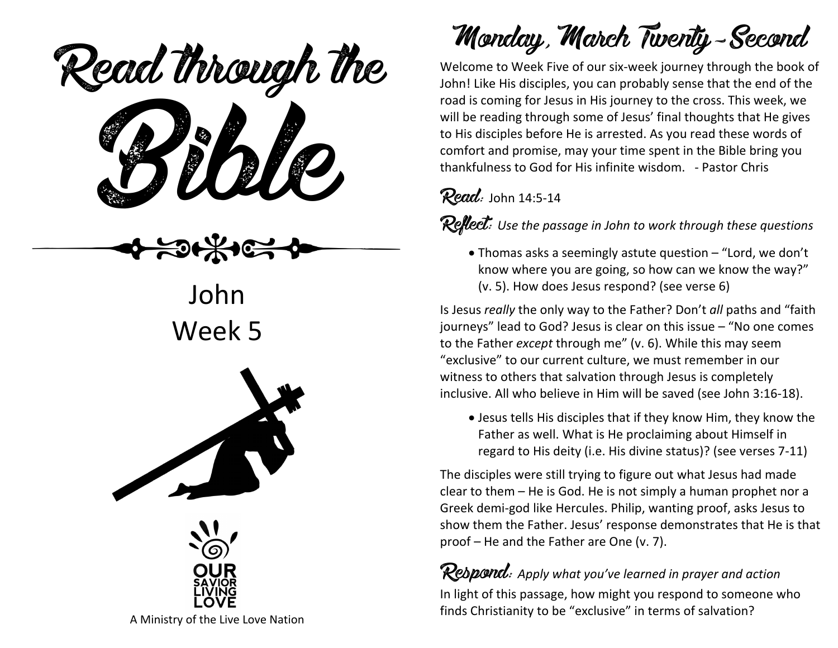ead mough Read through the

John Week 5





Monday, March Twenty-Second

Welcome to Week Five of our six-week journey through the book of John! Like His disciples, you can probably sense that the end of the road is coming for Jesus in His journey to the cross. This week, we will be reading through some of Jesus' final thoughts that He gives to His disciples before He is arrested. As you read these words of comfort and promise, may your time spent in the Bible bring you thankfulness to God for His infinite wisdom. - Pastor Chris

#### $Read:$  John 14:5-14

**Reflect:** Use the passage in John to work through these questions

• Thomas asks a seemingly astute question – "Lord, we don't know where you are going, so how can we know the way?" (v. 5). How does Jesus respond? (see verse 6)

Is Jesus *really* the only way to the Father? Don't *all* paths and "faith journeys" lead to God? Jesus is clear on this issue – "No one comes to the Father *except* through me" (v. 6). While this may seem "exclusive" to our current culture, we must remember in our witness to others that salvation through Jesus is completely inclusive. All who believe in Him will be saved (see John 3:16-18).

• Jesus tells His disciples that if they know Him, they know the Father as well. What is He proclaiming about Himself in regard to His deity (i.e. His divine status)? (see verses 7-11)

The disciples were still trying to figure out what Jesus had made clear to them – He is God. He is not simply a human prophet nor a Greek demi-god like Hercules. Philip, wanting proof, asks Jesus to show them the Father. Jesus' response demonstrates that He is that proof – He and the Father are One (v. 7).

#### Respond: *Apply what you've learned in prayer and action*

In light of this passage, how might you respond to someone who finds Christianity to be "exclusive" in terms of salvation?

A Ministry of the Live Love Nation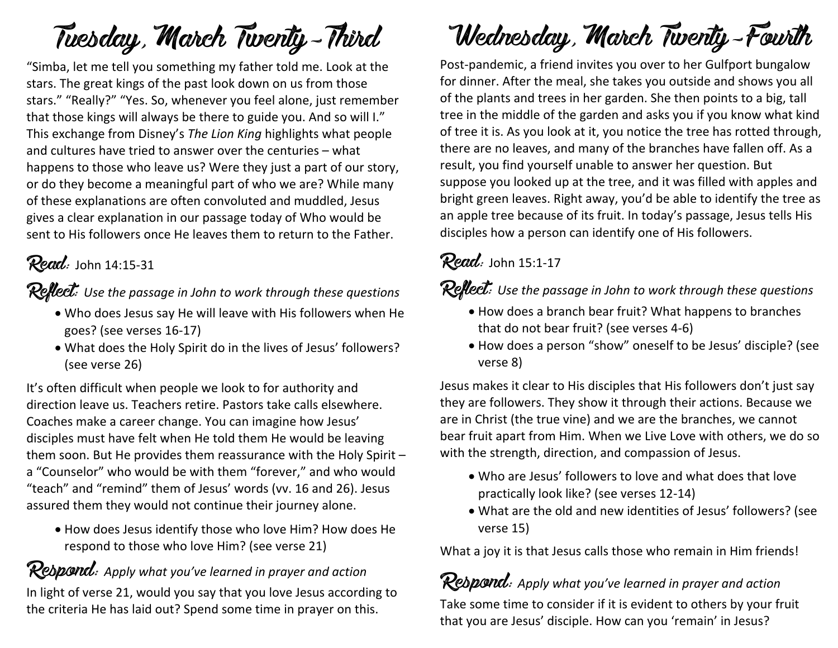# Tuesday, March Twenty-Third

"Simba, let me tell you something my father told me. Look at the stars. The great kings of the past look down on us from those stars." "Really?" "Yes. So, whenever you feel alone, just remember that those kings will always be there to guide you. And so will I." This exchange from Disney's *The Lion King* highlights what people and cultures have tried to answer over the centuries – what happens to those who leave us? Were they just a part of our story, or do they become a meaningful part of who we are? While many of these explanations are often convoluted and muddled, Jesus gives a clear explanation in our passage today of Who would be sent to His followers once He leaves them to return to the Father.

### Read: John 14:15-31

Reflect: Use the passage in John to work through these questions

- Who does Jesus say He will leave with His followers when He goes? (see verses 16-17)
- What does the Holy Spirit do in the lives of Jesus' followers? (see verse 26)

It's often difficult when people we look to for authority and direction leave us. Teachers retire. Pastors take calls elsewhere. Coaches make a career change. You can imagine how Jesus' disciples must have felt when He told them He would be leaving them soon. But He provides them reassurance with the Holy Spirit – a "Counselor" who would be with them "forever," and who would "teach" and "remind" them of Jesus' words (vv. 16 and 26). Jesus assured them they would not continue their journey alone.

• How does Jesus identify those who love Him? How does He respond to those who love Him? (see verse 21)

#### Respond: *Apply what you've learned in prayer and action*

In light of verse 21, would you say that you love Jesus according to the criteria He has laid out? Spend some time in prayer on this.

# Wednesday, March Twenty-Fourth

Post-pandemic, a friend invites you over to her Gulfport bungalow for dinner. After the meal, she takes you outside and shows you all of the plants and trees in her garden. She then points to a big, tall tree in the middle of the garden and asks you if you know what kind of tree it is. As you look at it, you notice the tree has rotted through, there are no leaves, and many of the branches have fallen off. As a result, you find yourself unable to answer her question. But suppose you looked up at the tree, and it was filled with apples and bright green leaves. Right away, you'd be able to identify the tree as an apple tree because of its fruit. In today's passage, Jesus tells His disciples how a person can identify one of His followers.

#### $Read:$  John 15:1-17

Reflect: *Use the passage in John to work through these questions*

- How does a branch bear fruit? What happens to branches that do not bear fruit? (see verses 4-6)
- How does a person "show" oneself to be Jesus' disciple? (see verse 8)

Jesus makes it clear to His disciples that His followers don't just say they are followers. They show it through their actions. Because we are in Christ (the true vine) and we are the branches, we cannot bear fruit apart from Him. When we Live Love with others, we do so with the strength, direction, and compassion of Jesus.

- Who are Jesus' followers to love and what does that love practically look like? (see verses 12-14)
- What are the old and new identities of Jesus' followers? (see verse 15)

What a joy it is that Jesus calls those who remain in Him friends!

### Respond: *Apply what you've learned in prayer and action*

Take some time to consider if it is evident to others by your fruit that you are Jesus' disciple. How can you 'remain' in Jesus?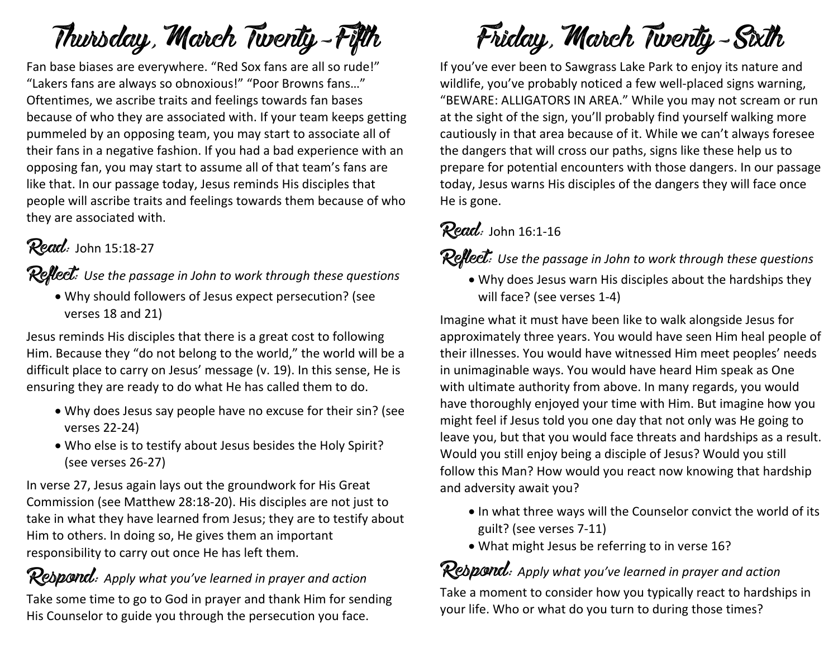Thursday, March Twenty-Fifth

Fan base biases are everywhere. "Red Sox fans are all so rude!" "Lakers fans are always so obnoxious!" "Poor Browns fans…" Oftentimes, we ascribe traits and feelings towards fan bases because of who they are associated with. If your team keeps getting pummeled by an opposing team, you may start to associate all of their fans in a negative fashion. If you had a bad experience with an opposing fan, you may start to assume all of that team's fans are like that. In our passage today, Jesus reminds His disciples that people will ascribe traits and feelings towards them because of who they are associated with.

#### Read: John 15:18-27

Reflect: *Use the passage in John to work through these questions*

• Why should followers of Jesus expect persecution? (see verses 18 and 21)

Jesus reminds His disciples that there is a great cost to following Him. Because they "do not belong to the world," the world will be a difficult place to carry on Jesus' message (v. 19). In this sense, He is ensuring they are ready to do what He has called them to do.

- Why does Jesus say people have no excuse for their sin? (see verses 22-24)
- Who else is to testify about Jesus besides the Holy Spirit? (see verses 26-27)

In verse 27, Jesus again lays out the groundwork for His Great Commission (see Matthew 28:18-20). His disciples are not just to take in what they have learned from Jesus; they are to testify about Him to others. In doing so, He gives them an important responsibility to carry out once He has left them.

Respond: *Apply what you've learned in prayer and action* Take some time to go to God in prayer and thank Him for sending His Counselor to guide you through the persecution you face.

Friday, March Twenty-Sixth

If you've ever been to Sawgrass Lake Park to enjoy its nature and wildlife, you've probably noticed a few well-placed signs warning, "BEWARE: ALLIGATORS IN AREA." While you may not scream or run at the sight of the sign, you'll probably find yourself walking more cautiously in that area because of it. While we can't always foresee the dangers that will cross our paths, signs like these help us to prepare for potential encounters with those dangers. In our passage today, Jesus warns His disciples of the dangers they will face once He is gone.

#### $Read:$  John 16:1-16

Reflect: *Use the passage in John to work through these questions*

• Why does Jesus warn His disciples about the hardships they will face? (see verses 1-4)

Imagine what it must have been like to walk alongside Jesus for approximately three years. You would have seen Him heal people of their illnesses. You would have witnessed Him meet peoples' needs in unimaginable ways. You would have heard Him speak as One with ultimate authority from above. In many regards, you would have thoroughly enjoyed your time with Him. But imagine how you might feel if Jesus told you one day that not only was He going to leave you, but that you would face threats and hardships as a result. Would you still enjoy being a disciple of Jesus? Would you still follow this Man? How would you react now knowing that hardship and adversity await you?

- In what three ways will the Counselor convict the world of its guilt? (see verses 7-11)
- What might Jesus be referring to in verse 16?

#### Respond: *Apply what you've learned in prayer and action*

Take a moment to consider how you typically react to hardships in your life. Who or what do you turn to during those times?